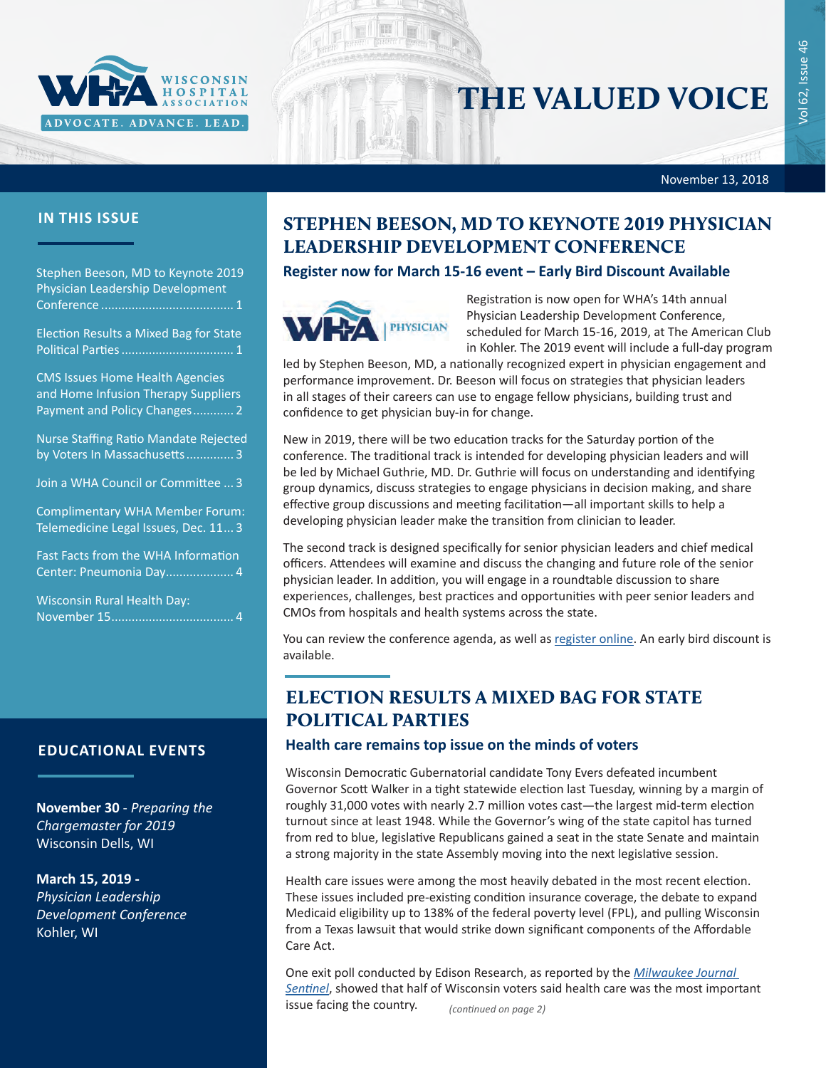

# THE VALUED VOICE

November 13, 2018

Vol 62, Issue 46

Vol 62, Issue 46

### **IN THIS ISSUE**

Stephen Beeson, MD to Keynote 2019 Physician Leadership Development Conference ....................................... 1

Election Results a Mixed Bag for State Political Parties................................. 1

[CMS Issues Home Health Agencies](#page-1-0)  [and Home Infusion Therapy Suppliers](#page-1-0)  [Payment and Policy Changes](#page-1-0)............ 2

[Nurse Staffing Ratio Mandate Rejected](#page-2-0)  [by Voters In Massachusetts](#page-2-0).............. 3

[Join a WHA Council or Committee](#page-2-0) ... 3

[Complimentary WHA Member Forum:](#page-2-0)  [Telemedicine Legal Issues, Dec. 11](#page-2-0)... 3

[Fast Facts from the WHA Information](#page-3-0)  [Center: Pneumonia Day....................](#page-3-0) 4

[Wisconsin Rural Health Day:](#page-3-0)  [November 15....................................](#page-3-0) 4

### **EDUCATIONAL EVENTS**

**November 30** - *[Preparing the](http://www.cvent.com/events/18l-chargemaster-1130/event-summary-52377b96df1f4e7e85f296ae5dbc59db.aspx)  [Chargemaster for 2019](http://www.cvent.com/events/18l-chargemaster-1130/event-summary-52377b96df1f4e7e85f296ae5dbc59db.aspx)* Wisconsin Dells, WI

#### **March 15, 2019 -**

*[Physician Leadership](http://www.cvent.com/d/8bqp54)  [Development Conference](http://www.cvent.com/d/8bqp54)* Kohler, WI

# STEPHEN BEESON, MD TO KEYNOTE 2019 PHYSICIAN LEADERSHIP DEVELOPMENT CONFERENCE

### **Register now for March 15-16 event – Early Bird Discount Available**



Registration is now open for WHA's 14th annual Physician Leadership Development Conference, scheduled for March 15-16, 2019, at The American Club in Kohler. The 2019 event will include a full-day program

led by Stephen Beeson, MD, a nationally recognized expert in physician engagement and performance improvement. Dr. Beeson will focus on strategies that physician leaders in all stages of their careers can use to engage fellow physicians, building trust and confidence to get physician buy-in for change.

New in 2019, there will be two education tracks for the Saturday portion of the conference. The traditional track is intended for developing physician leaders and will be led by Michael Guthrie, MD. Dr. Guthrie will focus on understanding and identifying group dynamics, discuss strategies to engage physicians in decision making, and share effective group discussions and meeting facilitation—all important skills to help a developing physician leader make the transition from clinician to leader.

The second track is designed specifically for senior physician leaders and chief medical officers. Attendees will examine and discuss the changing and future role of the senior physician leader. In addition, you will engage in a roundtable discussion to share experiences, challenges, best practices and opportunities with peer senior leaders and CMOs from hospitals and health systems across the state.

You can review the conference agenda, as well as [register online](http://www.cvent.com/events/19l-pldc-03-15-16/event-summary-cce6c95196974bcc87660b15b6e87c43.aspx). An early bird discount is available.

# ELECTION RESULTS A MIXED BAG FOR STATE POLITICAL PARTIES

### **Health care remains top issue on the minds of voters**

Wisconsin Democratic Gubernatorial candidate Tony Evers defeated incumbent Governor Scott Walker in a tight statewide election last Tuesday, winning by a margin of roughly 31,000 votes with nearly 2.7 million votes cast—the largest mid-term election turnout since at least 1948. While the Governor's wing of the state capitol has turned from red to blue, legislative Republicans gained a seat in the state Senate and maintain a strong majority in the state Assembly moving into the next legislative session.

Health care issues were among the most heavily debated in the most recent election. These issues included pre-existing condition insurance coverage, the debate to expand Medicaid eligibility up to 138% of the federal poverty level (FPL), and pulling Wisconsin from a Texas lawsuit that would strike down significant components of the Affordable Care Act.

One exit poll conducted by Edison Research, as reported by the *[Milwaukee Journal](https://www.jsonline.com/story/news/politics/elections/2018/11/06/voters-wisconsin-rate-economy-highly-cite-health-care-top-issue/1907709002/)  [Sentinel](https://www.jsonline.com/story/news/politics/elections/2018/11/06/voters-wisconsin-rate-economy-highly-cite-health-care-top-issue/1907709002/)*, showed that half of Wisconsin voters said health care was the most important issue facing the country. *(continued on page 2)*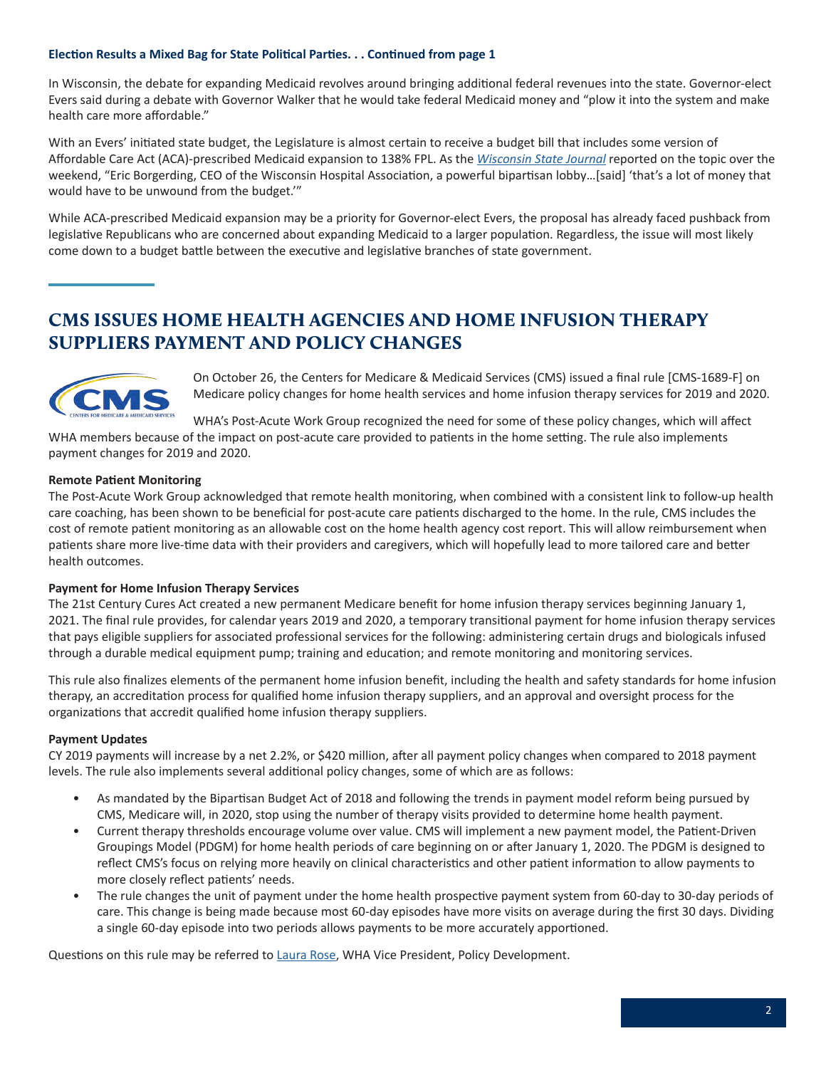#### <span id="page-1-0"></span>**Election Results a Mixed Bag for State Political Parties. . . Continued from page 1**

In Wisconsin, the debate for expanding Medicaid revolves around bringing additional federal revenues into the state. Governor-elect Evers said during a debate with Governor Walker that he would take federal Medicaid money and "plow it into the system and make health care more affordable."

With an Evers' initiated state budget, the Legislature is almost certain to receive a budget bill that includes some version of Affordable Care Act (ACA)-prescribed Medicaid expansion to 138% FPL. As the *[Wisconsin State Journal](https://madison.com/wsj/news/local/health-med-fit/tony-evers-could-bring-significant-changes-to-health-care-in/article_9fdd169a-53ad-5aed-b564-89502536c369.html)* reported on the topic over the weekend, "Eric Borgerding, CEO of the Wisconsin Hospital Association, a powerful bipartisan lobby…[said] 'that's a lot of money that would have to be unwound from the budget.'"

While ACA-prescribed Medicaid expansion may be a priority for Governor-elect Evers, the proposal has already faced pushback from legislative Republicans who are concerned about expanding Medicaid to a larger population. Regardless, the issue will most likely come down to a budget battle between the executive and legislative branches of state government.

# CMS ISSUES HOME HEALTH AGENCIES AND HOME INFUSION THERAPY SUPPLIERS PAYMENT AND POLICY CHANGES



On October 26, the Centers for Medicare & Medicaid Services (CMS) issued a final rule [CMS-1689-F] on Medicare policy changes for home health services and home infusion therapy services for 2019 and 2020.

WHA's Post-Acute Work Group recognized the need for some of these policy changes, which will affect

WHA members because of the impact on post-acute care provided to patients in the home setting. The rule also implements payment changes for 2019 and 2020.

#### **Remote Patient Monitoring**

The Post-Acute Work Group acknowledged that remote health monitoring, when combined with a consistent link to follow-up health care coaching, has been shown to be beneficial for post-acute care patients discharged to the home. In the rule, CMS includes the cost of remote patient monitoring as an allowable cost on the home health agency cost report. This will allow reimbursement when patients share more live-time data with their providers and caregivers, which will hopefully lead to more tailored care and better health outcomes.

#### **Payment for Home Infusion Therapy Services**

The 21st Century Cures Act created a new permanent Medicare benefit for home infusion therapy services beginning January 1, 2021. The final rule provides, for calendar years 2019 and 2020, a temporary transitional payment for home infusion therapy services that pays eligible suppliers for associated professional services for the following: administering certain drugs and biologicals infused through a durable medical equipment pump; training and education; and remote monitoring and monitoring services.

This rule also finalizes elements of the permanent home infusion benefit, including the health and safety standards for home infusion therapy, an accreditation process for qualified home infusion therapy suppliers, and an approval and oversight process for the organizations that accredit qualified home infusion therapy suppliers.

### **Payment Updates**

CY 2019 payments will increase by a net 2.2%, or \$420 million, after all payment policy changes when compared to 2018 payment levels. The rule also implements several additional policy changes, some of which are as follows:

- As mandated by the Bipartisan Budget Act of 2018 and following the trends in payment model reform being pursued by CMS, Medicare will, in 2020, stop using the number of therapy visits provided to determine home health payment.
- Current therapy thresholds encourage volume over value. CMS will implement a new payment model, the Patient-Driven Groupings Model (PDGM) for home health periods of care beginning on or after January 1, 2020. The PDGM is designed to reflect CMS's focus on relying more heavily on clinical characteristics and other patient information to allow payments to more closely reflect patients' needs.
- The rule changes the unit of payment under the home health prospective payment system from 60-day to 30-day periods of care. This change is being made because most 60-day episodes have more visits on average during the first 30 days. Dividing a single 60-day episode into two periods allows payments to be more accurately apportioned.

Questions on this rule may be referred to [Laura Rose](mailto:lrose@wha.org), WHA Vice President, Policy Development.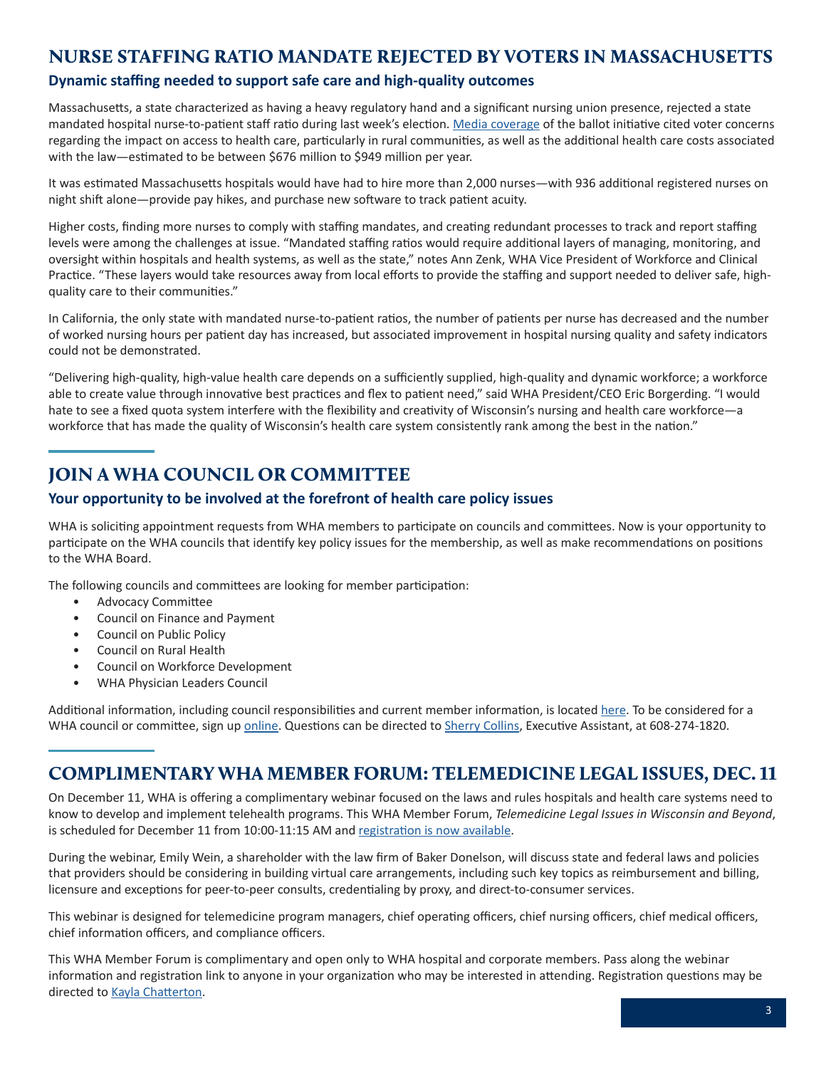# <span id="page-2-0"></span>NURSE STAFFING RATIO MANDATE REJECTED BY VOTERS IN MASSACHUSETTS

### **Dynamic staffing needed to support safe care and high-quality outcomes**

Massachusetts, a state characterized as having a heavy regulatory hand and a significant nursing union presence, rejected a state mandated hospital nurse-to-patient staff ratio during last week's election. [Media coverage](https://www.modernhealthcare.com/article/20181106/NEWS/181109947) of the ballot initiative cited voter concerns regarding the impact on access to health care, particularly in rural communities, as well as the additional health care costs associated with the law—estimated to be between \$676 million to \$949 million per year.

It was estimated Massachusetts hospitals would have had to hire more than 2,000 nurses—with 936 additional registered nurses on night shift alone—provide pay hikes, and purchase new software to track patient acuity.

Higher costs, finding more nurses to comply with staffing mandates, and creating redundant processes to track and report staffing levels were among the challenges at issue. "Mandated staffing ratios would require additional layers of managing, monitoring, and oversight within hospitals and health systems, as well as the state," notes Ann Zenk, WHA Vice President of Workforce and Clinical Practice. "These layers would take resources away from local efforts to provide the staffing and support needed to deliver safe, highquality care to their communities."

In California, the only state with mandated nurse-to-patient ratios, the number of patients per nurse has decreased and the number of worked nursing hours per patient day has increased, but associated improvement in hospital nursing quality and safety indicators could not be demonstrated.

"Delivering high-quality, high-value health care depends on a sufficiently supplied, high-quality and dynamic workforce; a workforce able to create value through innovative best practices and flex to patient need," said WHA President/CEO Eric Borgerding. "I would hate to see a fixed quota system interfere with the flexibility and creativity of Wisconsin's nursing and health care workforce—a workforce that has made the quality of Wisconsin's health care system consistently rank among the best in the nation."

# JOIN A WHA COUNCIL OR COMMITTEE

### **Your opportunity to be involved at the forefront of health care policy issues**

WHA is soliciting appointment requests from WHA members to participate on councils and committees. Now is your opportunity to participate on the WHA councils that identify key policy issues for the membership, as well as make recommendations on positions to the WHA Board.

The following councils and committees are looking for member participation:

- Advocacy Committee
- Council on Finance and Payment
- Council on Public Policy
- Council on Rural Health
- Council on Workforce Development
- WHA Physician Leaders Council

Additional information, including council responsibilities and current member information, is located [here](http://www.wha.org/WisconsinHospitalAssociation/media/WHACommon/PDFs/WHA-Councils-Committee-Descriptions.pdf). To be considered for a WHA council or committee, sign up [online](https://www.surveymonkey.com/r/2019Council). Questions can be directed to [Sherry Collins](mailto:scollins@wha.org), Executive Assistant, at 608-274-1820.

# COMPLIMENTARY WHA MEMBER FORUM: TELEMEDICINE LEGAL ISSUES, DEC. 11

On December 11, WHA is offering a complimentary webinar focused on the laws and rules hospitals and health care systems need to know to develop and implement telehealth programs. This WHA Member Forum, *Telemedicine Legal Issues in Wisconsin and Beyond*, is scheduled for December 11 from 10:00-11:15 AM and [registration is now available](http://www.whareg4.org/Telemed1211/).

During the webinar, Emily Wein, a shareholder with the law firm of Baker Donelson, will discuss state and federal laws and policies that providers should be considering in building virtual care arrangements, including such key topics as reimbursement and billing, licensure and exceptions for peer-to-peer consults, credentialing by proxy, and direct-to-consumer services.

This webinar is designed for telemedicine program managers, chief operating officers, chief nursing officers, chief medical officers, chief information officers, and compliance officers.

This WHA Member Forum is complimentary and open only to WHA hospital and corporate members. Pass along the webinar information and registration link to anyone in your organization who may be interested in attending. Registration questions may be directed to [Kayla Chatterton](mailto:kchatterton@wha.org).